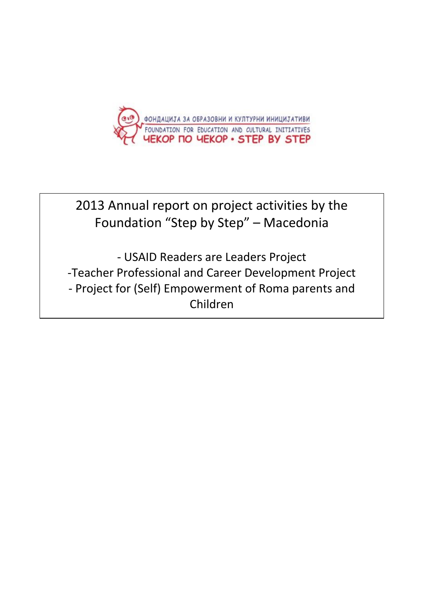

# 2013 Annual report on project activities by the Foundation "Step by Step" – Macedonia

- USAID Readers are Leaders Project -Teacher Professional and Career Development Project - Project for (Self) Empowerment of Roma parents and Children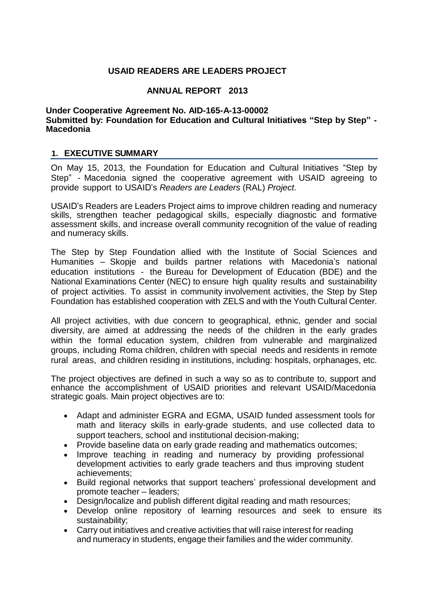# **USAID READERS ARE LEADERS PROJECT**

# **ANNUAL REPORT 2013**

#### **Under Cooperative Agreement No. AID-165-A-13-00002 Submitted by: Foundation for Education and Cultural Initiatives "Step by Step" - Macedonia**

# **1. EXECUTIVE SUMMARY**

On May 15, 2013, the Foundation for Education and Cultural Initiatives "Step by Step" - Macedonia signed the cooperative agreement with USAID agreeing to provide support to USAID's *Readers are Leaders* (RAL) *Project*.

USAID's Readers are Leaders Project aims to improve children reading and numeracy skills, strengthen teacher pedagogical skills, especially diagnostic and formative assessment skills, and increase overall community recognition of the value of reading and numeracy skills.

The Step by Step Foundation allied with the Institute of Social Sciences and Humanities – Skopje and builds partner relations with Macedonia's national education institutions - the Bureau for Development of Education (BDE) and the National Examinations Center (NEC) to ensure high quality results and sustainability of project activities. To assist in community involvement activities, the Step by Step Foundation has established cooperation with ZELS and with the Youth Cultural Center.

All project activities, with due concern to geographical, ethnic, gender and social diversity, are aimed at addressing the needs of the children in the early grades within the formal education system, children from vulnerable and marginalized groups, including Roma children, children with special needs and residents in remote rural areas, and children residing in institutions, including: hospitals, orphanages, etc.

The project objectives are defined in such a way so as to contribute to, support and enhance the accomplishment of USAID priorities and relevant USAID/Macedonia strategic goals. Main project objectives are to:

- Adapt and administer EGRA and EGMA, USAID funded assessment tools for math and literacy skills in early-grade students, and use collected data to support teachers, school and institutional decision-making;
- Provide baseline data on early grade reading and mathematics outcomes;
- Improve teaching in reading and numeracy by providing professional development activities to early grade teachers and thus improving student achievements;
- Build regional networks that support teachers' professional development and promote teacher – leaders;
- Design/localize and publish different digital reading and math resources;
- Develop online repository of learning resources and seek to ensure its sustainability;
- Carry out initiatives and creative activities that will raise interest for reading and numeracy in students, engage their families and the wider community.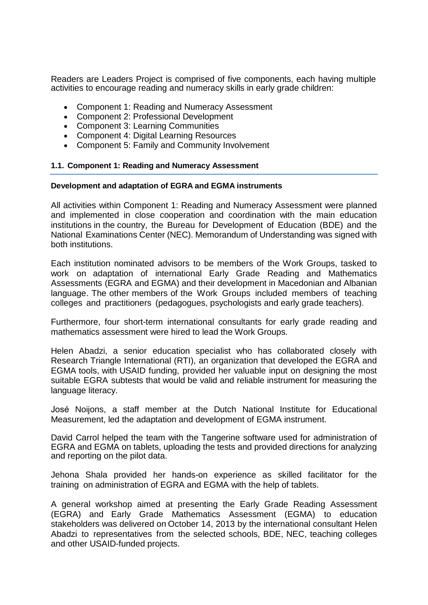Readers are Leaders Project is comprised of five components, each having multiple activities to encourage reading and numeracy skills in early grade children:

- Component 1: Reading and Numeracy Assessment
- Component 2: Professional Development
- Component 3: Learning Communities
- Component 4: Digital Learning Resources
- Component 5: Family and Community Involvement

#### **1.1. Component 1: Reading and Numeracy Assessment**

#### **Development and adaptation of EGRA and EGMA instruments**

All activities within Component 1: Reading and Numeracy Assessment were planned and implemented in close cooperation and coordination with the main education institutions in the country, the Bureau for Development of Education (BDE) and the National Examinations Center (NEC). Memorandum of Understanding was signed with both institutions.

Each institution nominated advisors to be members of the Work Groups, tasked to work on adaptation of international Early Grade Reading and Mathematics Assessments (EGRA and EGMA) and their development in Macedonian and Albanian language. The other members of the Work Groups included members of teaching colleges and practitioners (pedagogues, psychologists and early grade teachers).

Furthermore, four short-term international consultants for early grade reading and mathematics assessment were hired to lead the Work Groups.

Helen Abadzi, a senior education specialist who has collaborated closely with Research Triangle International (RTI), an organization that developed the EGRA and EGMA tools, with USAID funding, provided her valuable input on designing the most suitable EGRA subtests that would be valid and reliable instrument for measuring the language literacy.

José Noijons, a staff member at the Dutch National Institute for Educational Measurement, led the adaptation and development of EGMA instrument.

David Carrol helped the team with the Tangerine software used for administration of EGRA and EGMA on tablets, uploading the tests and provided directions for analyzing and reporting on the pilot data.

Jehona Shala provided her hands-on experience as skilled facilitator for the training on administration of EGRA and EGMA with the help of tablets.

A general workshop aimed at presenting the Early Grade Reading Assessment (EGRA) and Early Grade Mathematics Assessment (EGMA) to education stakeholders was delivered on October 14, 2013 by the international consultant Helen Abadzi to representatives from the selected schools, BDE, NEC, teaching colleges and other USAID-funded projects.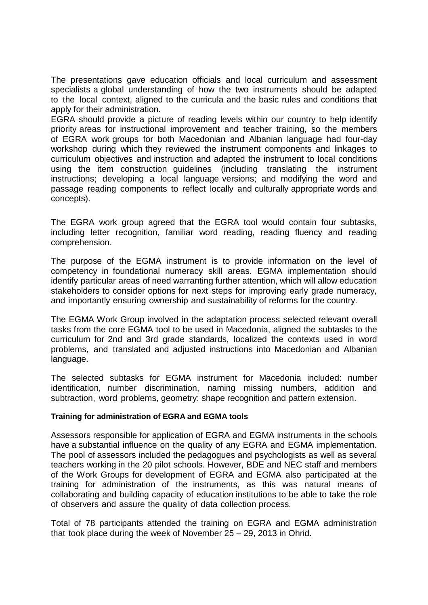The presentations gave education officials and local curriculum and assessment specialists a global understanding of how the two instruments should be adapted to the local context, aligned to the curricula and the basic rules and conditions that apply for their administration.

EGRA should provide a picture of reading levels within our country to help identify priority areas for instructional improvement and teacher training, so the members of EGRA work groups for both Macedonian and Albanian language had four-day workshop during which they reviewed the instrument components and linkages to curriculum objectives and instruction and adapted the instrument to local conditions using the item construction guidelines (including translating the instrument instructions; developing a local language versions; and modifying the word and passage reading components to reflect locally and culturally appropriate words and concepts).

The EGRA work group agreed that the EGRA tool would contain four subtasks, including letter recognition, familiar word reading, reading fluency and reading comprehension.

The purpose of the EGMA instrument is to provide information on the level of competency in foundational numeracy skill areas. EGMA implementation should identify particular areas of need warranting further attention, which will allow education stakeholders to consider options for next steps for improving early grade numeracy, and importantly ensuring ownership and sustainability of reforms for the country.

The EGMA Work Group involved in the adaptation process selected relevant overall tasks from the core EGMA tool to be used in Macedonia, aligned the subtasks to the curriculum for 2nd and 3rd grade standards, localized the contexts used in word problems, and translated and adjusted instructions into Macedonian and Albanian language.

The selected subtasks for EGMA instrument for Macedonia included: number identification, number discrimination, naming missing numbers, addition and subtraction, word problems, geometry: shape recognition and pattern extension.

# **Training for administration of EGRA and EGMA tools**

Assessors responsible for application of EGRA and EGMA instruments in the schools have a substantial influence on the quality of any EGRA and EGMA implementation. The pool of assessors included the pedagogues and psychologists as well as several teachers working in the 20 pilot schools. However, BDE and NEC staff and members of the Work Groups for development of EGRA and EGMA also participated at the training for administration of the instruments, as this was natural means of collaborating and building capacity of education institutions to be able to take the role of observers and assure the quality of data collection process.

Total of 78 participants attended the training on EGRA and EGMA administration that took place during the week of November 25 – 29, 2013 in Ohrid.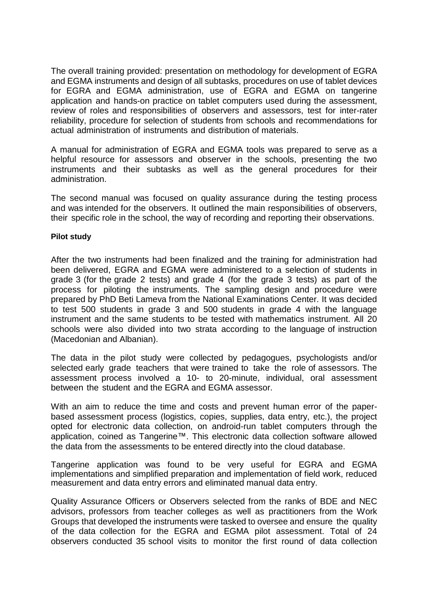The overall training provided: presentation on methodology for development of EGRA and EGMA instruments and design of all subtasks, procedures on use of tablet devices for EGRA and EGMA administration, use of EGRA and EGMA on tangerine application and hands-on practice on tablet computers used during the assessment, review of roles and responsibilities of observers and assessors, test for inter-rater reliability, procedure for selection of students from schools and recommendations for actual administration of instruments and distribution of materials.

A manual for administration of EGRA and EGMA tools was prepared to serve as a helpful resource for assessors and observer in the schools, presenting the two instruments and their subtasks as well as the general procedures for their administration.

The second manual was focused on quality assurance during the testing process and was intended for the observers. It outlined the main responsibilities of observers, their specific role in the school, the way of recording and reporting their observations.

#### **Pilot study**

After the two instruments had been finalized and the training for administration had been delivered, EGRA and EGMA were administered to a selection of students in grade 3 (for the grade 2 tests) and grade 4 (for the grade 3 tests) as part of the process for piloting the instruments. The sampling design and procedure were prepared by PhD Beti Lameva from the National Examinations Center. It was decided to test 500 students in grade 3 and 500 students in grade 4 with the language instrument and the same students to be tested with mathematics instrument. All 20 schools were also divided into two strata according to the language of instruction (Macedonian and Albanian).

The data in the pilot study were collected by pedagogues, psychologists and/or selected early grade teachers that were trained to take the role of assessors. The assessment process involved a 10- to 20-minute, individual, oral assessment between the student and the EGRA and EGMA assessor.

With an aim to reduce the time and costs and prevent human error of the paperbased assessment process (logistics, copies, supplies, data entry, etc.), the project opted for electronic data collection, on android-run tablet computers through the application, coined as Tangerine™. This electronic data collection software allowed the data from the assessments to be entered directly into the cloud database.

Tangerine application was found to be very useful for EGRA and EGMA implementations and simplified preparation and implementation of field work, reduced measurement and data entry errors and eliminated manual data entry.

Quality Assurance Officers or Observers selected from the ranks of BDE and NEC advisors, professors from teacher colleges as well as practitioners from the Work Groups that developed the instruments were tasked to oversee and ensure the quality of the data collection for the EGRA and EGMA pilot assessment. Total of 24 observers conducted 35 school visits to monitor the first round of data collection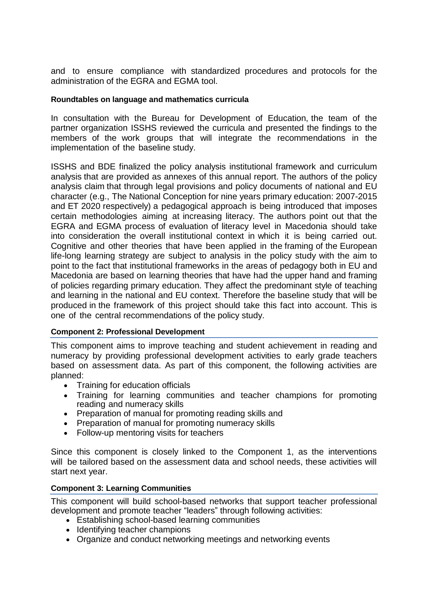and to ensure compliance with standardized procedures and protocols for the administration of the EGRA and EGMA tool.

## **Roundtables on language and mathematics curricula**

In consultation with the Bureau for Development of Education, the team of the partner organization ISSHS reviewed the curricula and presented the findings to the members of the work groups that will integrate the recommendations in the implementation of the baseline study.

ISSHS and BDE finalized the policy analysis institutional framework and curriculum analysis that are provided as annexes of this annual report. The authors of the policy analysis claim that through legal provisions and policy documents of national and EU character (e.g., The National Conception for nine years primary education: 2007-2015 and ET 2020 respectively) a pedagogical approach is being introduced that imposes certain methodologies aiming at increasing literacy. The authors point out that the EGRA and EGMA process of evaluation of literacy level in Macedonia should take into consideration the overall institutional context in which it is being carried out. Cognitive and other theories that have been applied in the framing of the European life-long learning strategy are subject to analysis in the policy study with the aim to point to the fact that institutional frameworks in the areas of pedagogy both in EU and Macedonia are based on learning theories that have had the upper hand and framing of policies regarding primary education. They affect the predominant style of teaching and learning in the national and EU context. Therefore the baseline study that will be produced in the framework of this project should take this fact into account. This is one of the central recommendations of the policy study.

#### **Component 2: Professional Development**

This component aims to improve teaching and student achievement in reading and numeracy by providing professional development activities to early grade teachers based on assessment data. As part of this component, the following activities are planned:

- Training for education officials
- Training for learning communities and teacher champions for promoting reading and numeracy skills
- Preparation of manual for promoting reading skills and
- Preparation of manual for promoting numeracy skills
- Follow-up mentoring visits for teachers

Since this component is closely linked to the Component 1, as the interventions will be tailored based on the assessment data and school needs, these activities will start next year.

#### **Component 3: Learning Communities**

This component will build school-based networks that support teacher professional development and promote teacher "leaders" through following activities:

- Establishing school-based learning communities
- Identifying teacher champions
- Organize and conduct networking meetings and networking events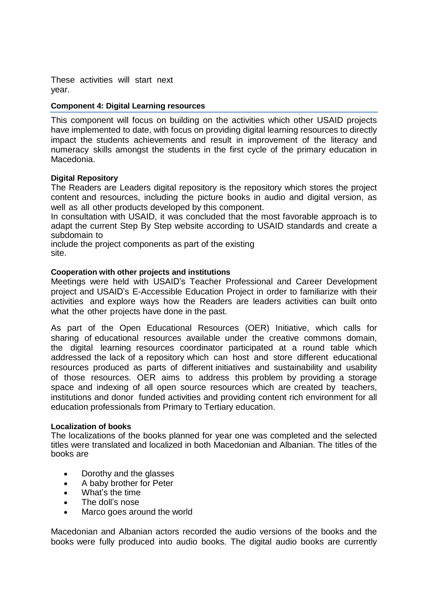These activities will start next year.

#### **Component 4: Digital Learning resources**

This component will focus on building on the activities which other USAID projects have implemented to date, with focus on providing digital learning resources to directly impact the students achievements and result in improvement of the literacy and numeracy skills amongst the students in the first cycle of the primary education in Macedonia.

#### **Digital Repository**

The Readers are Leaders digital repository is the repository which stores the project content and resources, including the picture books in audio and digital version, as well as all other products developed by this component.

In consultation with USAID, it was concluded that the most favorable approach is to adapt the current Step By Step website according to USAID standards and create a subdomain to

include the project components as part of the existing site.

#### **Cooperation with other projects and institutions**

Meetings were held with USAID's Teacher Professional and Career Development project and USAID's E-Accessible Education Project in order to familiarize with their activities and explore ways how the Readers are leaders activities can built onto what the other projects have done in the past.

As part of the Open Educational Resources (OER) Initiative, which calls for sharing of educational resources available under the creative commons domain, the digital learning resources coordinator participated at a round table which addressed the lack of a repository which can host and store different educational resources produced as parts of different initiatives and sustainability and usability of those resources. OER aims to address this problem by providing a storage space and indexing of all open source resources which are created by teachers, institutions and donor funded activities and providing content rich environment for all education professionals from Primary to Tertiary education.

#### **Localization of books**

The localizations of the books planned for year one was completed and the selected titles were translated and localized in both Macedonian and Albanian. The titles of the books are

- Dorothy and the glasses
- A baby brother for Peter
- What's the time
- The doll's nose
- Marco goes around the world

Macedonian and Albanian actors recorded the audio versions of the books and the books were fully produced into audio books. The digital audio books are currently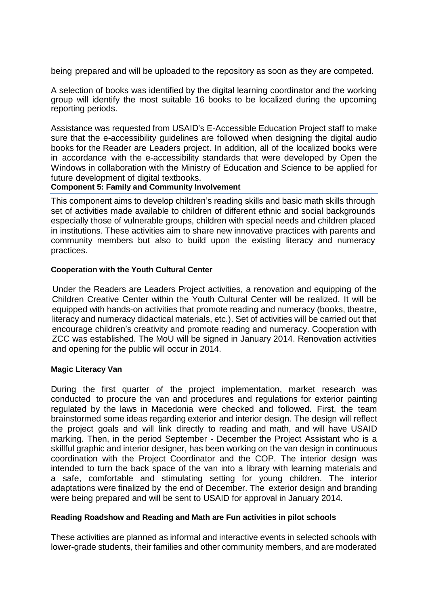being prepared and will be uploaded to the repository as soon as they are competed.

A selection of books was identified by the digital learning coordinator and the working group will identify the most suitable 16 books to be localized during the upcoming reporting periods.

Assistance was requested from USAID's E-Accessible Education Project staff to make sure that the e-accessibility guidelines are followed when designing the digital audio books for the Reader are Leaders project. In addition, all of the localized books were in accordance with the e-accessibility standards that were developed by Open the Windows in collaboration with the Ministry of Education and Science to be applied for future development of digital textbooks.

#### **Component 5: Family and Community Involvement**

This component aims to develop children's reading skills and basic math skills through set of activities made available to children of different ethnic and social backgrounds especially those of vulnerable groups, children with special needs and children placed in institutions. These activities aim to share new innovative practices with parents and community members but also to build upon the existing literacy and numeracy practices.

# **Cooperation with the Youth Cultural Center**

Under the Readers are Leaders Project activities, a renovation and equipping of the Children Creative Center within the Youth Cultural Center will be realized. It will be equipped with hands-on activities that promote reading and numeracy (books, theatre, literacy and numeracy didactical materials, etc.). Set of activities will be carried out that encourage children's creativity and promote reading and numeracy. Cooperation with ZCC was established. The MoU will be signed in January 2014. Renovation activities and opening for the public will occur in 2014.

#### **Magic Literacy Van**

During the first quarter of the project implementation, market research was conducted to procure the van and procedures and regulations for exterior painting regulated by the laws in Macedonia were checked and followed. First, the team brainstormed some ideas regarding exterior and interior design. The design will reflect the project goals and will link directly to reading and math, and will have USAID marking. Then, in the period September - December the Project Assistant who is a skillful graphic and interior designer, has been working on the van design in continuous coordination with the Project Coordinator and the COP. The interior design was intended to turn the back space of the van into a library with learning materials and a safe, comfortable and stimulating setting for young children. The interior adaptations were finalized by the end of December. The exterior design and branding were being prepared and will be sent to USAID for approval in January 2014.

#### **Reading Roadshow and Reading and Math are Fun activities in pilot schools**

These activities are planned as informal and interactive events in selected schools with lower-grade students, their families and other community members, and are moderated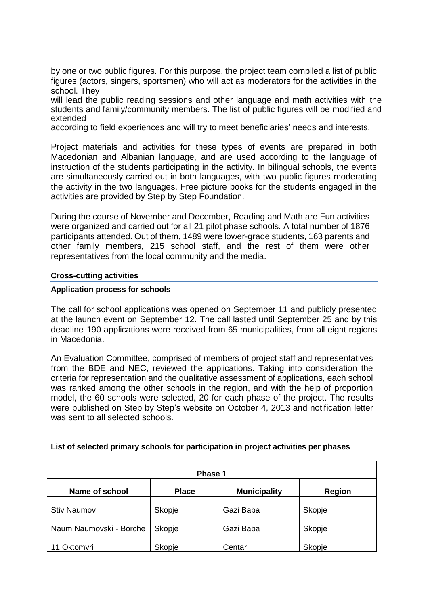by one or two public figures. For this purpose, the project team compiled a list of public figures (actors, singers, sportsmen) who will act as moderators for the activities in the school. They

will lead the public reading sessions and other language and math activities with the students and family/community members. The list of public figures will be modified and extended

according to field experiences and will try to meet beneficiaries' needs and interests.

Project materials and activities for these types of events are prepared in both Macedonian and Albanian language, and are used according to the language of instruction of the students participating in the activity. In bilingual schools, the events are simultaneously carried out in both languages, with two public figures moderating the activity in the two languages. Free picture books for the students engaged in the activities are provided by Step by Step Foundation.

During the course of November and December, Reading and Math are Fun activities were organized and carried out for all 21 pilot phase schools. A total number of 1876 participants attended. Out of them, 1489 were lower-grade students, 163 parents and other family members, 215 school staff, and the rest of them were other representatives from the local community and the media.

#### **Cross-cutting activities**

#### **Application process for schools**

The call for school applications was opened on September 11 and publicly presented at the launch event on September 12. The call lasted until September 25 and by this deadline 190 applications were received from 65 municipalities, from all eight regions in Macedonia.

An Evaluation Committee, comprised of members of project staff and representatives from the BDE and NEC, reviewed the applications. Taking into consideration the criteria for representation and the qualitative assessment of applications, each school was ranked among the other schools in the region, and with the help of proportion model, the 60 schools were selected, 20 for each phase of the project. The results were published on Step by Step's website on October 4, 2013 and notification letter was sent to all selected schools.

| Phase 1                 |              |                     |               |  |  |
|-------------------------|--------------|---------------------|---------------|--|--|
| Name of school          | <b>Place</b> | <b>Municipality</b> | <b>Region</b> |  |  |
| <b>Stiv Naumov</b>      | Skopje       | Gazi Baba           | Skopje        |  |  |
| Naum Naumovski - Borche | Skopje       | Gazi Baba           | Skopje        |  |  |
| 11 Oktomvri             | Skopje       | Centar              | Skopje        |  |  |

#### **List of selected primary schools for participation in project activities per phases**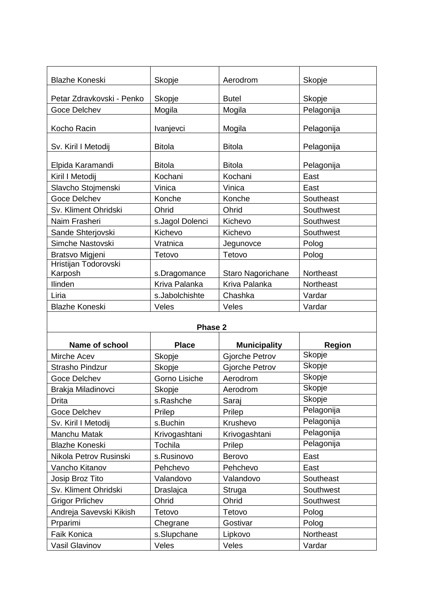| <b>Blazhe Koneski</b>           | Skopje          | Aerodrom          | Skopje           |
|---------------------------------|-----------------|-------------------|------------------|
| Petar Zdravkovski - Penko       | Skopje          | <b>Butel</b>      | Skopje           |
| Goce Delchev                    | Mogila          | Mogila            | Pelagonija       |
| Kocho Racin                     | Ivanjevci       | Mogila            | Pelagonija       |
| Sv. Kiril I Metodij             | <b>Bitola</b>   | <b>Bitola</b>     | Pelagonija       |
| Elpida Karamandi                | <b>Bitola</b>   | <b>Bitola</b>     | Pelagonija       |
| Kiril I Metodij                 | Kochani         | Kochani           | East             |
| Slavcho Stojmenski              | Vinica          | Vinica            | East             |
| <b>Goce Delchev</b>             | Konche          | Konche            | Southeast        |
| Sv. Kliment Ohridski            | Ohrid           | Ohrid             | Southwest        |
| Naim Frasheri                   | s.Jagol Dolenci | Kichevo           | Southwest        |
| Sande Shterjovski               | Kichevo         | Kichevo           | Southwest        |
| Simche Nastovski                | Vratnica        | Jegunovce         | Polog            |
| Bratsvo Migjeni                 | Tetovo          | Tetovo            | Polog            |
| Hristijan Todorovski<br>Karposh | s.Dragomance    | Staro Nagorichane | Northeast        |
| Ilinden                         | Kriva Palanka   | Kriva Palanka     | <b>Northeast</b> |
| Liria                           | s.Jabolchishte  | Chashka           | Vardar           |
| <b>Blazhe Koneski</b>           | Veles           | Veles             | Vardar           |

#### **Phase 2**

| <b>Name of school</b>   | <b>Place</b>  | <b>Municipality</b> | <b>Region</b> |  |  |
|-------------------------|---------------|---------------------|---------------|--|--|
| Mirche Acev             | Skopje        | Gjorche Petrov      | Skopje        |  |  |
| <b>Strasho Pindzur</b>  | Skopje        | Gjorche Petrov      | Skopje        |  |  |
| <b>Goce Delchev</b>     | Gorno Lisiche | Aerodrom            | Skopje        |  |  |
| Brakja Miladinovci      | Skopje        | Aerodrom            | Skopje        |  |  |
| Drita                   | s.Rashche     | Saraj               | Skopje        |  |  |
| <b>Goce Delchev</b>     | Prilep        | Prilep              | Pelagonija    |  |  |
| Sv. Kiril I Metodij     | s.Buchin      | Krushevo            | Pelagonija    |  |  |
| Manchu Matak            | Krivogashtani | Krivogashtani       | Pelagonija    |  |  |
| <b>Blazhe Koneski</b>   | Tochila       | Prilep              | Pelagonija    |  |  |
| Nikola Petrov Rusinski  | s.Rusinovo    | <b>Berovo</b>       | East          |  |  |
| Vancho Kitanov          | Pehchevo      | Pehchevo            | East          |  |  |
| Josip Broz Tito         | Valandovo     | Valandovo           | Southeast     |  |  |
| Sv. Kliment Ohridski    | Draslajca     | Struga              | Southwest     |  |  |
| <b>Grigor Prlichev</b>  | Ohrid         | Ohrid               | Southwest     |  |  |
| Andreja Savevski Kikish | Tetovo        | Tetovo              | Polog         |  |  |
| Prparimi                | Chegrane      | Gostivar            | Polog         |  |  |
| <b>Faik Konica</b>      | s.Slupchane   | Lipkovo             | Northeast     |  |  |
| <b>Vasil Glavinov</b>   | Veles         | Veles               | Vardar        |  |  |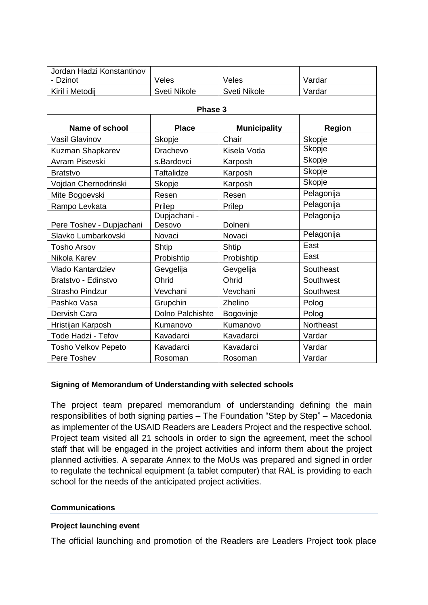| Jordan Hadzi Konstantinov  |                        |                     |               |  |  |
|----------------------------|------------------------|---------------------|---------------|--|--|
| - Dzinot                   | Veles                  | Veles               | Vardar        |  |  |
| Kiril i Metodij            | Sveti Nikole           | Sveti Nikole        | Vardar        |  |  |
| Phase 3                    |                        |                     |               |  |  |
| Name of school             | <b>Place</b>           | <b>Municipality</b> | <b>Region</b> |  |  |
| <b>Vasil Glavinov</b>      | Skopje                 | Chair               | Skopje        |  |  |
| Kuzman Shapkarev           | Drachevo               | Kisela Voda         | Skopje        |  |  |
| Avram Pisevski             | s.Bardovci             | Karposh             | Skopje        |  |  |
| <b>Bratstvo</b>            | <b>Taftalidze</b>      | Karposh             | Skopje        |  |  |
| Vojdan Chernodrinski       | Skopje                 | Karposh             | Skopje        |  |  |
| Mite Bogoevski             | Resen                  | Resen               | Pelagonija    |  |  |
| Rampo Levkata              | Prilep                 | Prilep              | Pelagonija    |  |  |
| Pere Toshev - Dupjachani   | Dupjachani -<br>Desovo | Dolneni             | Pelagonija    |  |  |
| Slavko Lumbarkovski        | Novaci                 | Novaci              | Pelagonija    |  |  |
| <b>Tosho Arsov</b>         | Shtip                  | Shtip               | East          |  |  |
| Nikola Karev               | Probishtip             | Probishtip          | East          |  |  |
| <b>Vlado Kantardziev</b>   | Gevgelija              | Gevgelija           | Southeast     |  |  |
| Bratstvo - Edinstvo        | Ohrid                  | Ohrid               | Southwest     |  |  |
| <b>Strasho Pindzur</b>     | Vevchani               | Vevchani            | Southwest     |  |  |
| Pashko Vasa                | Grupchin               | Zhelino             | Polog         |  |  |
| Dervish Cara               | Dolno Palchishte       | Bogovinje           | Polog         |  |  |
| Hristijan Karposh          | Kumanovo               | Kumanovo            | Northeast     |  |  |
| Tode Hadzi - Tefov         | Kavadarci              | Kavadarci           | Vardar        |  |  |
| <b>Tosho Velkov Pepeto</b> | Kavadarci              | Kavadarci           | Vardar        |  |  |
| Pere Toshev                | Rosoman                | Rosoman             | Vardar        |  |  |

# **Signing of Memorandum of Understanding with selected schools**

The project team prepared memorandum of understanding defining the main responsibilities of both signing parties – The Foundation "Step by Step" – Macedonia as implementer of the USAID Readers are Leaders Project and the respective school. Project team visited all 21 schools in order to sign the agreement, meet the school staff that will be engaged in the project activities and inform them about the project planned activities. A separate Annex to the MoUs was prepared and signed in order to regulate the technical equipment (a tablet computer) that RAL is providing to each school for the needs of the anticipated project activities.

#### **Communications**

#### **Project launching event**

The official launching and promotion of the Readers are Leaders Project took place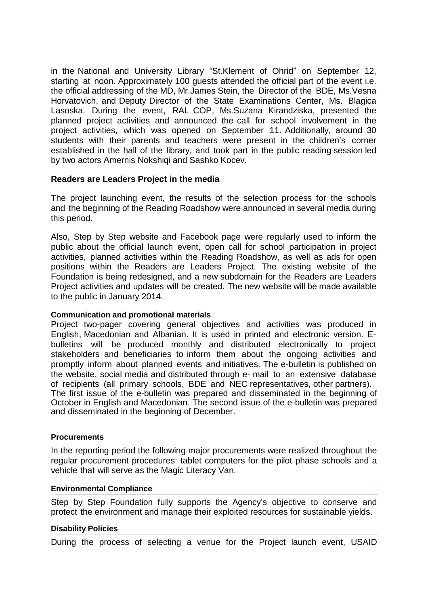in the National and University Library "St.Klement of Ohrid" on September 12, starting at noon. Approximately 100 guests attended the official part of the event i.e. the official addressing of the MD, Mr.James Stein, the Director of the BDE, Ms.Vesna Horvatovich, and Deputy Director of the State Examinations Center, Ms. Blagica Lasoska. During the event, RAL COP, Ms.Suzana Kirandziska, presented the planned project activities and announced the call for school involvement in the project activities, which was opened on September 11. Additionally, around 30 students with their parents and teachers were present in the children's corner established in the hall of the library, and took part in the public reading session led by two actors Amernis Nokshiqi and Sashko Kocev.

#### **Readers are Leaders Project in the media**

The project launching event, the results of the selection process for the schools and the beginning of the Reading Roadshow were announced in several media during this period.

Also, Step by Step website and Facebook page were regularly used to inform the public about the official launch event, open call for school participation in project activities, planned activities within the Reading Roadshow, as well as ads for open positions within the Readers are Leaders Project. The existing website of the Foundation is being redesigned, and a new subdomain for the Readers are Leaders Project activities and updates will be created. The new website will be made available to the public in January 2014.

#### **Communication and promotional materials**

Project two-pager covering general objectives and activities was produced in English, Macedonian and Albanian. It is used in printed and electronic version. Ebulletins will be produced monthly and distributed electronically to project stakeholders and beneficiaries to inform them about the ongoing activities and promptly inform about planned events and initiatives. The e-bulletin is published on the website, social media and distributed through e- mail to an extensive database of recipients (all primary schools, BDE and NEC representatives, other partners). The first issue of the e-bulletin was prepared and disseminated in the beginning of October in English and Macedonian. The second issue of the e-bulletin was prepared and disseminated in the beginning of December.

#### **Procurements**

In the reporting period the following major procurements were realized throughout the regular procurement procedures: tablet computers for the pilot phase schools and a vehicle that will serve as the Magic Literacy Van.

#### **Environmental Compliance**

Step by Step Foundation fully supports the Agency's objective to conserve and protect the environment and manage their exploited resources for sustainable yields.

#### **Disability Policies**

During the process of selecting a venue for the Project launch event, USAID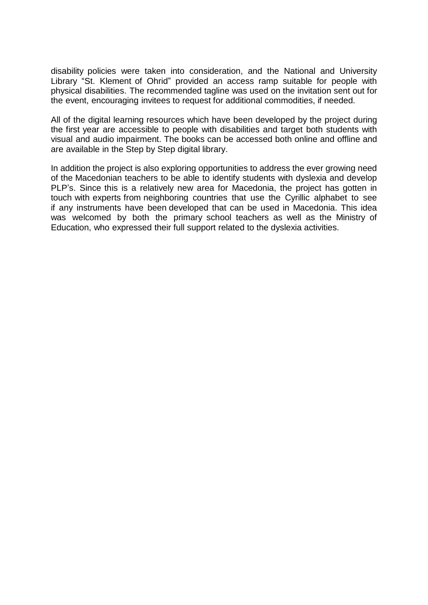disability policies were taken into consideration, and the National and University Library "St. Klement of Ohrid" provided an access ramp suitable for people with physical disabilities. The recommended tagline was used on the invitation sent out for the event, encouraging invitees to request for additional commodities, if needed.

All of the digital learning resources which have been developed by the project during the first year are accessible to people with disabilities and target both students with visual and audio impairment. The books can be accessed both online and offline and are available in the Step by Step digital library.

In addition the project is also exploring opportunities to address the ever growing need of the Macedonian teachers to be able to identify students with dyslexia and develop PLP's. Since this is a relatively new area for Macedonia, the project has gotten in touch with experts from neighboring countries that use the Cyrillic alphabet to see if any instruments have been developed that can be used in Macedonia. This idea was welcomed by both the primary school teachers as well as the Ministry of Education, who expressed their full support related to the dyslexia activities.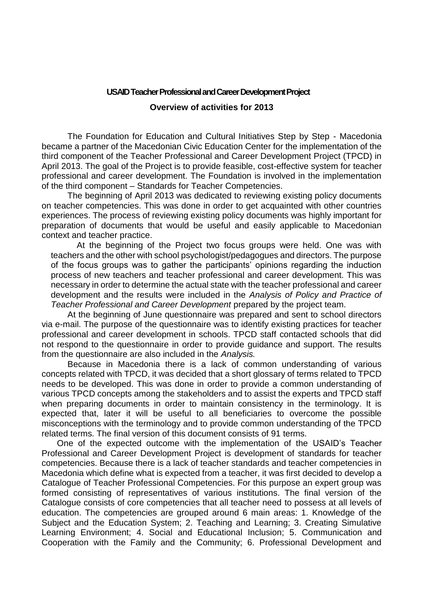# **USAID Teacher Professional and Career Development Project Overview of activities for 2013**

The Foundation for Education and Cultural Initiatives Step by Step - Macedonia became a partner of the Macedonian Civic Education Center for the implementation of the third component of the Teacher Professional and Career Development Project (TPCD) in April 2013. The goal of the Project is to provide feasible, cost-effective system for teacher professional and career development. The Foundation is involved in the implementation of the third component – Standards for Teacher Competencies.

The beginning of April 2013 was dedicated to reviewing existing policy documents on teacher competencies. This was done in order to get acquainted with other countries experiences. The process of reviewing existing policy documents was highly important for preparation of documents that would be useful and easily applicable to Macedonian context and teacher practice.

At the beginning of the Project two focus groups were held. One was with teachers and the other with school psychologist/pedagogues and directors. The purpose of the focus groups was to gather the participants' opinions regarding the induction process of new teachers and teacher professional and career development. This was necessary in order to determine the actual state with the teacher professional and career development and the results were included in the *Analysis of Policy and Practice of Teacher Professional and Career Development* prepared by the project team.

At the beginning of June questionnaire was prepared and sent to school directors via e-mail. The purpose of the questionnaire was to identify existing practices for teacher professional and career development in schools. TPCD staff contacted schools that did not respond to the questionnaire in order to provide guidance and support. The results from the questionnaire are also included in the *Analysis.*

Because in Macedonia there is a lack of common understanding of various concepts related with TPCD, it was decided that a short glossary of terms related to TPCD needs to be developed. This was done in order to provide a common understanding of various TPCD concepts among the stakeholders and to assist the experts and TPCD staff when preparing documents in order to maintain consistency in the terminology. It is expected that, later it will be useful to all beneficiaries to overcome the possible misconceptions with the terminology and to provide common understanding of the TPCD related terms. The final version of this document consists of 91 terms.

One of the expected outcome with the implementation of the USAID's Teacher Professional and Career Development Project is development of standards for teacher competencies. Because there is a lack of teacher standards and teacher competencies in Macedonia which define what is expected from a teacher, it was first decided to develop a Catalogue of Teacher Professional Competencies. For this purpose an expert group was formed consisting of representatives of various institutions. The final version of the Catalogue consists of core competencies that all teacher need to possess at all levels of education. The competencies are grouped around 6 main areas: 1. Knowledge of the Subject and the Education System; 2. Teaching and Learning; 3. Creating Simulative Learning Environment; 4. Social and Educational Inclusion; 5. Communication and Cooperation with the Family and the Community; 6. Professional Development and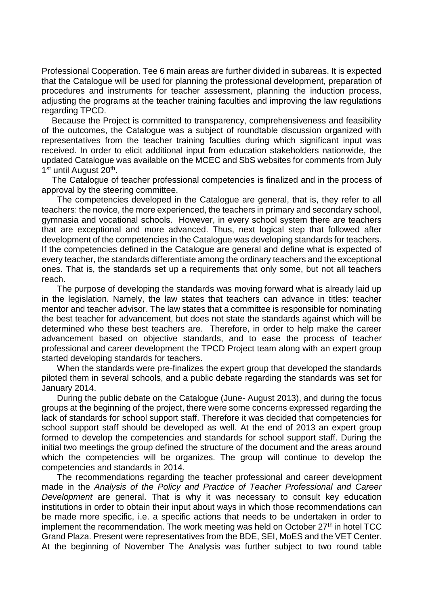Professional Cooperation. Tee 6 main areas are further divided in subareas. It is expected that the Catalogue will be used for planning the professional development, preparation of procedures and instruments for teacher assessment, planning the induction process, adjusting the programs at the teacher training faculties and improving the law regulations regarding TPCD.

Because the Project is committed to transparency, comprehensiveness and feasibility of the outcomes, the Catalogue was a subject of roundtable discussion organized with representatives from the teacher training faculties during which significant input was received. In order to elicit additional input from education stakeholders nationwide, the updated Catalogue was available on the MCEC and SbS websites for comments from July 1<sup>st</sup> until August 20<sup>th</sup>.

The Catalogue of teacher professional competencies is finalized and in the process of approval by the steering committee.

The competencies developed in the Catalogue are general, that is, they refer to all teachers: the novice, the more experienced, the teachers in primary and secondary school, gymnasia and vocational schools. However, in every school system there are teachers that are exceptional and more advanced. Thus, next logical step that followed after development of the competencies in the Catalogue was developing standards for teachers. If the competencies defined in the Catalogue are general and define what is expected of every teacher, the standards differentiate among the ordinary teachers and the exceptional ones. That is, the standards set up a requirements that only some, but not all teachers reach.

The purpose of developing the standards was moving forward what is already laid up in the legislation. Namely, the law states that teachers can advance in titles: teacher mentor and teacher advisor. The law states that a committee is responsible for nominating the best teacher for advancement, but does not state the standards against which will be determined who these best teachers are. Therefore, in order to help make the career advancement based on objective standards, and to ease the process of teacher professional and career development the TPCD Project team along with an expert group started developing standards for teachers.

When the standards were pre-finalizes the expert group that developed the standards piloted them in several schools, and a public debate regarding the standards was set for January 2014.

During the public debate on the Catalogue (June- August 2013), and during the focus groups at the beginning of the project, there were some concerns expressed regarding the lack of standards for school support staff. Therefore it was decided that competencies for school support staff should be developed as well. At the end of 2013 an expert group formed to develop the competencies and standards for school support staff. During the initial two meetings the group defined the structure of the document and the areas around which the competencies will be organizes. The group will continue to develop the competencies and standards in 2014.

The recommendations regarding the teacher professional and career development made in the *Analysis of the Policy and Practice of Teacher Professional and Career Development* are general. That is why it was necessary to consult key education institutions in order to obtain their input about ways in which those recommendations can be made more specific, i.e. a specific actions that needs to be undertaken in order to implement the recommendation. The work meeting was held on October  $27<sup>th</sup>$  in hotel TCC Grand Plaza. Present were representatives from the BDE, SEI, MoES and the VET Center. At the beginning of November The Analysis was further subject to two round table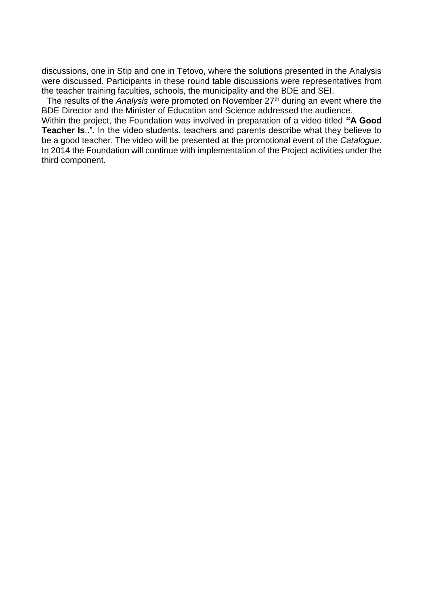discussions, one in Stip and one in Tetovo, where the solutions presented in the Analysis were discussed. Participants in these round table discussions were representatives from the teacher training faculties, schools, the municipality and the BDE and SEI.

The results of the *Analysis* were promoted on November 27th during an event where the BDE Director and the Minister of Education and Science addressed the audience.

Within the project, the Foundation was involved in preparation of a video titled **"A Good Teacher Is**..". In the video students, teachers and parents describe what they believe to be a good teacher. The video will be presented at the promotional event of the *Catalogue.* In 2014 the Foundation will continue with implementation of the Project activities under the third component.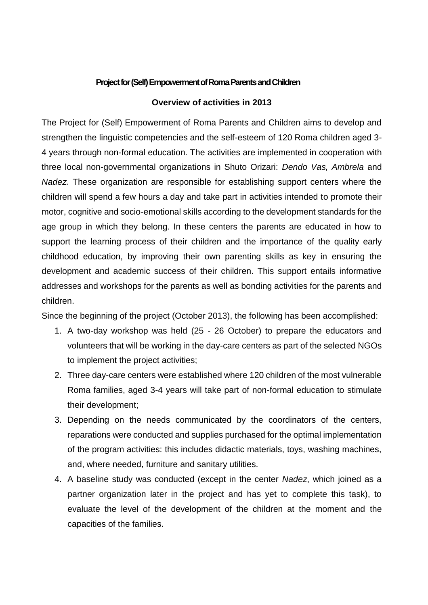# **Project for (Self) Empowerment of Roma Parents and Children**

#### **Overview of activities in 2013**

The Project for (Self) Empowerment of Roma Parents and Children aims to develop and strengthen the linguistic competencies and the self-esteem of 120 Roma children aged 3- 4 years through non-formal education. The activities are implemented in cooperation with three local non-governmental organizations in Shuto Orizari: *Dendo Vas, Ambrela* and *Nadez.* These organization are responsible for establishing support centers where the children will spend a few hours a day and take part in activities intended to promote their motor, cognitive and socio-emotional skills according to the development standards for the age group in which they belong. In these centers the parents are educated in how to support the learning process of their children and the importance of the quality early childhood education, by improving their own parenting skills as key in ensuring the development and academic success of their children. This support entails informative addresses and workshops for the parents as well as bonding activities for the parents and children.

Since the beginning of the project (October 2013), the following has been accomplished:

- 1. A two-day workshop was held (25 26 October) to prepare the educators and volunteers that will be working in the day-care centers as part of the selected NGOs to implement the project activities;
- 2. Three day-care centers were established where 120 children of the most vulnerable Roma families, aged 3-4 years will take part of non-formal education to stimulate their development;
- 3. Depending on the needs communicated by the coordinators of the centers, reparations were conducted and supplies purchased for the optimal implementation of the program activities: this includes didactic materials, toys, washing machines, and, where needed, furniture and sanitary utilities.
- 4. A baseline study was conducted (except in the center *Nadez*, which joined as a partner organization later in the project and has yet to complete this task), to evaluate the level of the development of the children at the moment and the capacities of the families.